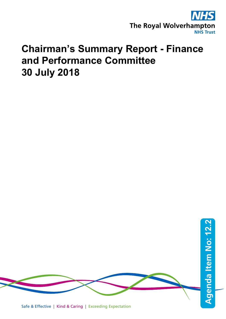

# **Chairman's Summary Report - Finance and Performance Committee 30 July 2018**

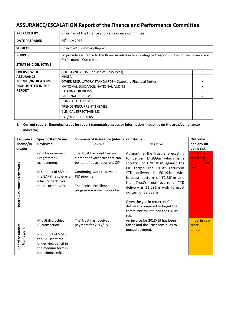## **ASSURANCE/ESCALATION Report of the Finance and Performance Committee**

| <b>PREPARED BY</b>                                             | Chairman of the Finance and Performance Committee                                                                           |   |  |  |  |
|----------------------------------------------------------------|-----------------------------------------------------------------------------------------------------------------------------|---|--|--|--|
| <b>DATE PREPARED</b>                                           | $25th$ July 2018                                                                                                            |   |  |  |  |
| <b>SUBJECT</b>                                                 | Chairman's Summary Report                                                                                                   |   |  |  |  |
| <b>PURPOSE</b>                                                 | To provide assurance to the Board in relation to all delegated responsibilities of the Finance and<br>Performance Committee |   |  |  |  |
| <b>STRATEGIC OBJECTIVE</b>                                     |                                                                                                                             |   |  |  |  |
| <b>OVERVIEW OF</b>                                             | CQC STANDARDS (For Use of Resources)                                                                                        | x |  |  |  |
| <b>ASSURANCE</b>                                               | <b>NHSLA</b>                                                                                                                |   |  |  |  |
| <b>THEMES/INDICATORS</b>                                       | <b>OTHER REGULATORY STANDARDS - Statutory Financial Duties</b>                                                              |   |  |  |  |
| <b>HIGHLIGHTED IN THE</b><br>NATIONAL GUIDANCE/NATIONAL AUDITS |                                                                                                                             |   |  |  |  |
| <b>REPORT</b>                                                  | <b>EXTERNAL REVIEWS</b>                                                                                                     |   |  |  |  |
| <b>INTERNAL REVIEWS</b>                                        |                                                                                                                             | x |  |  |  |
| CLINICAL OUTCOMES                                              |                                                                                                                             |   |  |  |  |
|                                                                | TRENDS/RECURRENT THEMES                                                                                                     |   |  |  |  |
|                                                                | <b>CLINICAL EFFECTIVENESS</b>                                                                                               |   |  |  |  |
|                                                                | <b>BAF/RISK REGISTERS</b><br>x                                                                                              |   |  |  |  |

### **1. Current report - Emerging issues for report (summarise issues or information impacting on the area/compliance/ indicator)**

| <b>Assurance</b>                    | Specific Item/issue                                                                                                                                  | <b>Summary of Assurance (internal or External)</b>                                                                                                                                                     | <b>Outcome</b>                                                                                                                                                                                                                                                                                                            |                                                     |
|-------------------------------------|------------------------------------------------------------------------------------------------------------------------------------------------------|--------------------------------------------------------------------------------------------------------------------------------------------------------------------------------------------------------|---------------------------------------------------------------------------------------------------------------------------------------------------------------------------------------------------------------------------------------------------------------------------------------------------------------------------|-----------------------------------------------------|
| Theme/In                            | <b>Reviewed</b>                                                                                                                                      | Positive                                                                                                                                                                                               | Negative                                                                                                                                                                                                                                                                                                                  | and any on-                                         |
| dicator                             |                                                                                                                                                      |                                                                                                                                                                                                        |                                                                                                                                                                                                                                                                                                                           | going risk                                          |
| Board Assurance Framework           | Cost Improvement<br>Programme (CIP)<br>achievement.<br>In support of SR9 on<br>the BAF (that there is<br>a failure to deliver<br>the recurrent CIP). | The Trust has identified an<br>element of vacancies that can<br>be identified as recurrent CIP<br>Continuing work to develop<br>PID pipeline<br>The Clinical Excellence<br>programme is well supported | At month 3, the Trust is forecasting<br>to deliver £4.899m which is a<br>shortfall of £20.101m against the<br>CIP Target. The Trust's recurrent<br>delivery is £0.194m with<br>YTD.<br>forecast outturn of £2.361m and<br>Trust's non-recurrent<br>the<br>YTD.<br>delivery is £1.291m with forecast<br>outturn of £2.538m | Initial risk is<br>rated red<br>and remains<br>red. |
|                                     |                                                                                                                                                      |                                                                                                                                                                                                        | Given the gap in recurrent CIP<br>delivered compared to target the<br>committee maintained the risk as<br>red.                                                                                                                                                                                                            |                                                     |
| <b>Board Assurance</b><br>Framework | Mid Staffordshire<br>FT transaction.<br>In support of SR9 on<br>the BAF (that the<br>underlying deficit in<br>the medium term is<br>not eliminated). | The Trust has received<br>payment for 2017/18                                                                                                                                                          | An invoice for 2018/19 has been<br>raised and the Trust continues to<br>pursue payment.                                                                                                                                                                                                                                   | Initial in year<br>score<br>amber.                  |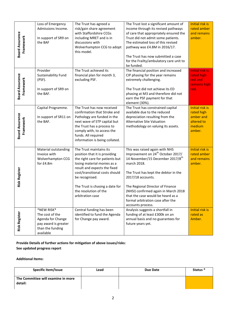|                                     | Loss of Emergency                  |  | The Trust has agreed a                                                   |  | The Trust lost a significant amount of        | <b>Initial risk is</b> |
|-------------------------------------|------------------------------------|--|--------------------------------------------------------------------------|--|-----------------------------------------------|------------------------|
|                                     | Admissions Income.                 |  | risk/gain share agreement                                                |  | income through its revised pathways           | rated amber            |
|                                     |                                    |  | with Staffordshire CCGs                                                  |  | of care that appropriately ensured the        | and remains            |
|                                     | In support of SR9 on               |  | including MRET and is in                                                 |  | Trust did not admit some patients.            | amber.                 |
|                                     | the BAF                            |  | discussions with                                                         |  | The estimated loss of this revised            |                        |
| Framework                           |                                    |  | Wolverhampton CCG to adopt                                               |  | pathway was £4.8M in 2016/17.                 |                        |
| <b>Board Assurance</b>              |                                    |  | this model.                                                              |  |                                               |                        |
|                                     |                                    |  |                                                                          |  | The Trust has now submitted a case            |                        |
|                                     |                                    |  |                                                                          |  | for the Frailty/ambulatory care unit to       |                        |
|                                     |                                    |  |                                                                          |  | be funded.                                    |                        |
|                                     | Provider                           |  | The Trust achieved its                                                   |  | The financial position and increased          | <b>Initial risk is</b> |
|                                     | Sustainability Fund                |  | financial plan for month 3,                                              |  | CIP phasing for the year remains              | rated high             |
|                                     | (PSF).                             |  | excluding PSF.                                                           |  | extremely challenging.                        | red and                |
| <b>Board Assurance</b><br>Framework | In support of SR9 on               |  |                                                                          |  | The Trust did not achieve its ED              | remains high<br>red.   |
|                                     | the BAF.                           |  |                                                                          |  | phasing at M3 and therefore did not           |                        |
|                                     |                                    |  |                                                                          |  | earn the PSF payment for that                 |                        |
|                                     |                                    |  |                                                                          |  | element (30%).                                |                        |
|                                     | Capital Programme.                 |  | The Trust has now received                                               |  | The Trust has constrained capital             | Initial risk is        |
|                                     |                                    |  | confirmation that Stroke and                                             |  | available due to the reduced                  | rated high             |
| <b>Board Assurance</b>              | In support of SR11 on              |  | Pathology are funded in the                                              |  | depreciation resulting from the               | amber and              |
| Framework                           | the BAF.                           |  | next wave of STP capital but                                             |  | <b>Alternative Site Valuation</b>             | altered to             |
|                                     |                                    |  | the Trust has a process to                                               |  | methodology on valuing its assets.            | medium                 |
|                                     |                                    |  | comply with, to access the                                               |  |                                               | amber.                 |
|                                     |                                    |  | funds. All required                                                      |  |                                               |                        |
|                                     |                                    |  | information is being collated.                                           |  |                                               |                        |
|                                     |                                    |  |                                                                          |  |                                               |                        |
|                                     | Material outstanding               |  | The Trust maintains its                                                  |  | This was raised again with NHS                | <b>Initial risk is</b> |
|                                     | Invoice with                       |  | position that it is providing                                            |  | Improvement on 24 <sup>th</sup> October 2017/ | rated amber            |
|                                     | Wolverhampton CCG                  |  | the right care for patients but                                          |  | 14 November/15 December 2017/8 <sup>th</sup>  | and remains            |
|                                     | for £4.8m                          |  | losing material monies as a<br>result and expects the fixed              |  | march 2018.                                   | amber.                 |
|                                     |                                    |  | cost/transitional costs should                                           |  | The Trust has kept the debtor in the          |                        |
| <b>Risk Register</b>                |                                    |  | be recognised.                                                           |  | 2017/18 accounts.                             |                        |
|                                     |                                    |  |                                                                          |  |                                               |                        |
|                                     |                                    |  | The Trust is chasing a date for                                          |  | The Regional Director of Finance              |                        |
|                                     |                                    |  | the resolution of the                                                    |  | (NHSI) confirmed again in March 2018          |                        |
|                                     |                                    |  | arbitration case                                                         |  | that the case would be heard as a             |                        |
|                                     |                                    |  |                                                                          |  | formal arbitration case after the             |                        |
|                                     |                                    |  |                                                                          |  | accounts process.                             |                        |
|                                     | *NEW RISK*                         |  | Central funding has been                                                 |  | Analysis suggests a shortfall in              | Initial risk is        |
| <b>Risk Register</b>                | The cost of the                    |  | identified to fund the Agenda                                            |  | funding of at least £300k on an               | rated as               |
|                                     | Agenda for Change                  |  | for Change pay award.                                                    |  | annual basis and no guarantees for            | Amber.                 |
|                                     | pay award is greater               |  |                                                                          |  | future years yet.                             |                        |
|                                     | than the funding                   |  |                                                                          |  |                                               |                        |
|                                     | available                          |  |                                                                          |  |                                               |                        |
|                                     |                                    |  | Provide Details of further actions for mitigation of above issues/risks: |  |                                               |                        |
|                                     |                                    |  |                                                                          |  |                                               |                        |
|                                     | See updated progress report        |  |                                                                          |  |                                               |                        |
|                                     |                                    |  |                                                                          |  |                                               |                        |
| <b>Additional Items:</b>            |                                    |  |                                                                          |  |                                               |                        |
| Specific item/Issue                 |                                    |  | Lead                                                                     |  | <b>Due Date</b>                               | Status *               |
|                                     |                                    |  |                                                                          |  |                                               |                        |
|                                     | The Committee will examine in more |  |                                                                          |  |                                               |                        |
| detail:                             |                                    |  |                                                                          |  |                                               |                        |

#### **Additional Items:**

| <b>Specific item/Issue</b>                    | Lead | Due Date | Status <sup>*</sup> |
|-----------------------------------------------|------|----------|---------------------|
| The Committee will examine in more<br>detail: |      |          |                     |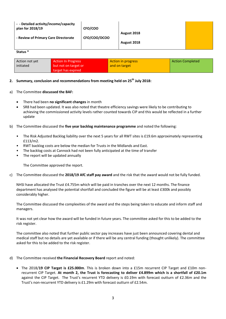| - - Detailed activity/income/capacity<br>plan for 2018/19 | CFO/COO      |             |  |
|-----------------------------------------------------------|--------------|-------------|--|
| - Review of Primary Care Directorate                      | CFO/COO/DCOO | August 2018 |  |
|                                                           |              | August 2018 |  |

#### **Status \***

| Action not yet | <b>Action In Progress</b> | Action in progress | <b>Action Completed</b> |
|----------------|---------------------------|--------------------|-------------------------|
| initiated      | but not on target or      | and on target      |                         |
|                | target has expired        |                    |                         |

#### **2. Summary, conclusion and recommendations from meeting held on 25 th July 2018:**

- a) The Committee **discussed the BAF:**
	- There had been **no significant changes** in month
	- SR8 had been updated. It was also noted that theatre efficiency savings were likely to be contributing to achieving the commissioned activity levels rather counted towards CIP and this would be reflected in a further update
- b) The Committee discussed the **five year backlog maintenance programme** and noted the following:
	- The Risk Adjusted Backlog liability over the next 5 years for all RWT sites is £19.6m approximately representing £113/m2.
	- RWT backlog costs are below the median for Trusts in the Midlands and East.
	- The backlog costs at Cannock had not been fully anticipated at the time of transfer
	- The report will be updated annually

The Committee approved the report.

c) The Committee discussed the **2018/19 AfC staff pay award** and the risk that the award would not be fully funded.

NHSI have allocated the Trust £4.755m which will be paid in tranches over the next 12 months. The finance department has analysed the potential shortfall and concluded the figure will be at least £300k and possibly considerably higher.

The Committee discussed the complexities of the award and the steps being taken to educate and inform staff and managers.

It was not yet clear how the award will be funded in future years. The committee asked for this to be added to the risk register.

The committee also noted that further public sector pay increases have just been announced covering dental and medical staff but no details are yet available or if there will be any central funding (thought unlikely). The committee asked for this to be added to the risk register.

- d) The Committee received **the Financial Recovery Board** report and noted:
	- The 2018/**19 CIP Target is £25.000m**. This is broken down into a £15m recurrent CIP Target and £10m nonrecurrent CIP Target. **At month 2, the Trust is forecasting to deliver £4.899m which is a shortfall of £20.1m** against the CIP Target. The Trust's recurrent YTD delivery is £0.19m with forecast outturn of £2.36m and the Trust's non-recurrent YTD delivery is £1.29m with forecast outturn of £2.54m.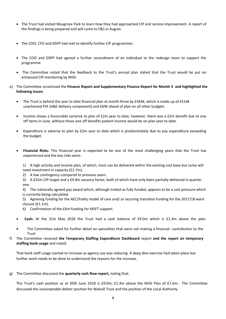- The Trust had visited Musgrove Park to learn how they had approached CIP and service improvement. A report of the findings is being prepared and will come to F&S in August.
- The COO, CFO and DSPP had met to identify further CIP programmes
- The COO and DSPP had agreed a further secondment of an individual to the redesign team to support the programme
- The Committee noted that the feedback to the Trust's annual plan stated that the Trust would be put on enhanced CIP monitoring by NHSI
- e) The Committee scrutinised the **Finance Report and Supplementary Finance Report for Month 3 and highlighted the following issues**:
	- The Trust is behind the year to date financial plan at month three by £444k, which is made up of £514k unachieved PSF (A&E delivery component) and £69k ahead of plan on all other budgets
	- Income shows a favourable variance to plan of £2m year to date, however, there was a £2m benefit due to one off items in June, without these one off benefits patient income would be on plan year to date.
	- Expenditure is adverse to plan by £2m year to date which is predominately due to pay expenditure exceeding the budget.
	- **Financial Risks:** This financial year is expected to be one of the most challenging years that the Trust has experienced and the key risks were:

1) A high activity and income plan, of which, most can be delivered within the existing cost base but some will need investment in capacity (£1-7m).

2) A low contingency compared to previous years.

3) A £25m CIP target and a £9.8m vacancy factor, both of which have only been partially delivered in quarter one.

4) The nationally agreed pay award which, although trailed as fully funded, appears to be a cost pressure which is currently being calculated.

5) Agreeing funding for the AEC/frailty model of care and/ or securing transition funding for the 2017/18 ward closure (£1.1m).

- 6) Confirmation of the £6m funding for MSFT support.
- **Cash:** At the 31st May 2018 the Trust had a cash balance of £9.0m which is £1.4m above the plan.
- The Committee asked for further detail on specialties that were not making a financial contribution to the **Trust**
- f) The Committee received **the Temporary Staffing Expenditure Dashboard** report **and the report on temporary staffing bank usage** and noted:

That bank staff usage started to increase as agency use was reducing. A deep dive exercise had taken place but further work needs to be done to understand the reasons for the increase.

#### g) The Committee discussed the **quarterly cash flow report,** noting that:

The Trust's cash position as at 30th June 2018 is £9.0m; £1.4m above the NHSI Plan of £7.6m. The Committee discussed the unacceptable debtor position for Walsall Trust and the position of the Local Authority.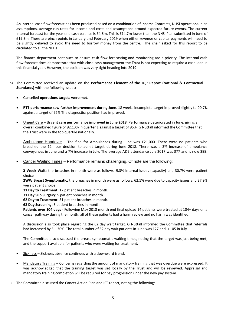An internal cash flow forecast has been produced based on a combination of Income Contracts, NHSi operational plan assumptions, average run rates for income and costs and assumptions around expected future events. The current internal forecast for the year-end cash balance is £4.6m. This is £14.7m lower than the NHSi Plan submitted in June of £19.3m. There are pinch points in January and February 2019 when either revenue or capital payments will need to be slightly delayed to avoid the need to borrow money from the centre. The chair asked for this report to be circulated to all the NEDs

The finance department continues to ensure cash flow forecasting and monitoring are a priority. The internal cash flow forecast does demonstrate that with close cash management the Trust is not expecting to require a cash loan in this financial year. However, the position was very tight heading into 2019

- h) The Committee received an update on the **Performance Element of the IQP Report (National & Contractual Standards)** with the following issues**:**
	- Cancelled **operations targets were met**.
	- **RTT performance saw further improvement during June**. 18 weeks incomplete target improved slightly to 90.7% against a target of 92%.The diagnostics position had improved.
	- Urgent Care **Urgent care performance improved in June 2018**. Performance deteriorated in June, giving an overall combined figure of 92.13% in quarter 1 against a target of 95%. G Nuttall informed the Committee that the Trust were in the top quartile nationally.

Ambulance Handover – The fine for Ambulances during June was £21,000. There were no patients who breached the 12 hour decision to admit target during June 2018. There was a 3% increase of ambulance conveyances in June and a 7% increase in July. The average A&E attendance July 2017 was 377 and is now 399.

Cancer Waiting Times – Performance remains challenging. Of note are the following:

**2 Week Wait:** the breaches in month were as follows; 9.3% internal issues (capacity) and 30.7% were patient choice

**2WW Breast Symptomatic:** the breaches in month were as follows; 62.1% were due to capacity issues and 37.9% were patient choice

**31 Day to Treatment:** 17 patient breaches in month.

**31 Day Sub Surgery:** 5 patient breaches in month.

**62 Day to Treatment:** 51 patient breaches in month.

**62 Day Screening:** 3 patient breaches in month.

**Patients over 104 days** - Following May 2018 month end final upload 14 patients were treated at 104+ days on a cancer pathway during the month, all of these patients had a harm review and no harm was identified.

A discussion also took place regarding the 62 day wait target. G Nuttall informed the Committee that referrals had increased by 5 – 30%. The total number of 62 day wait patients in June was 127 and is 105 in July.

The Committee also discussed the breast symptomatic waiting times, noting that the target was just being met, and the support available for patients who were waiting for treatment.

- Sickness Sickness absence continues with a downward trend.
- Mandatory Training Concerns regarding the amount of mandatory training that was overdue were expressed. It was acknowledged that the training target was set locally by the Trust and will be reviewed. Appraisal and mandatory training completion will be required for pay progression under the new pay system.
- i) The Committee discussed the Cancer Action Plan and IST report, noting the following: